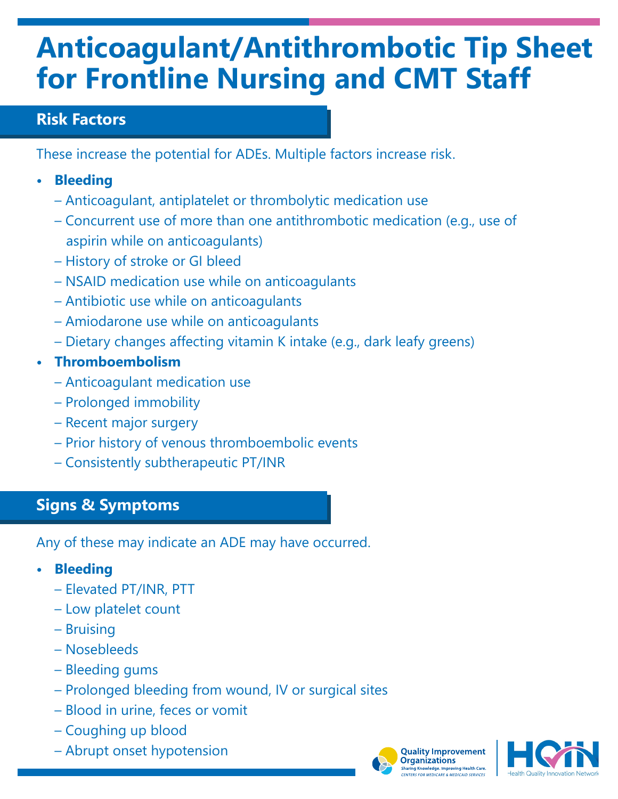# **Anticoagulant/Antithrombotic Tip Sheet for Frontline Nursing and CMT Staff**

### **Risk Factors**

These increase the potential for ADEs. Multiple factors increase risk.

- **• Bleeding**
	- Anticoagulant, antiplatelet or thrombolytic medication use
	- Concurrent use of more than one antithrombotic medication (e.g., use of aspirin while on anticoagulants)
	- History of stroke or GI bleed
	- NSAID medication use while on anticoagulants
	- Antibiotic use while on anticoagulants
	- Amiodarone use while on anticoagulants
	- Dietary changes affecting vitamin K intake (e.g., dark leafy greens)
- **• Thromboembolism**
	- Anticoagulant medication use
	- Prolonged immobility
	- Recent major surgery
	- Prior history of venous thromboembolic events
	- Consistently subtherapeutic PT/INR

## **Signs & Symptoms**

Any of these may indicate an ADE may have occurred.

- **• Bleeding**
	- Elevated PT/INR, PTT
	- Low platelet count
	- Bruising
	- Nosebleeds
	- Bleeding gums
	- Prolonged bleeding from wound, IV or surgical sites
	- Blood in urine, feces or vomit
	- Coughing up blood
	- Abrupt onset hypotension